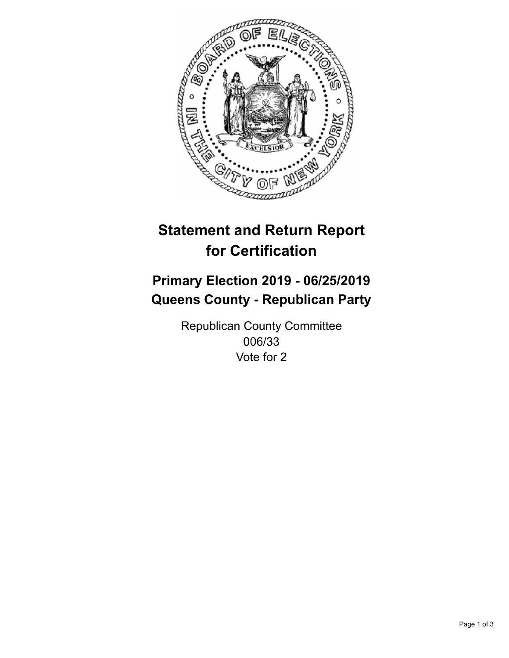

## **Statement and Return Report for Certification**

## **Primary Election 2019 - 06/25/2019 Queens County - Republican Party**

Republican County Committee 006/33 Vote for 2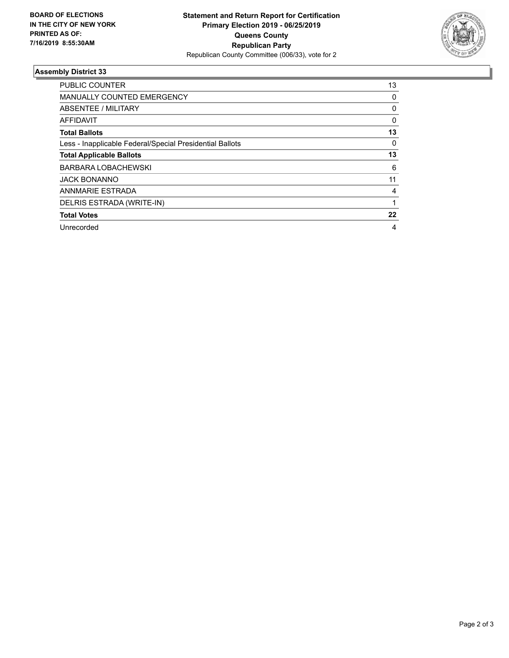

## **Assembly District 33**

| <b>PUBLIC COUNTER</b>                                    | 13       |
|----------------------------------------------------------|----------|
| MANUALLY COUNTED EMERGENCY                               | 0        |
| ABSENTEE / MILITARY                                      | 0        |
| AFFIDAVIT                                                | $\Omega$ |
| <b>Total Ballots</b>                                     | 13       |
| Less - Inapplicable Federal/Special Presidential Ballots | 0        |
| <b>Total Applicable Ballots</b>                          | 13       |
| BARBARA LOBACHEWSKI                                      | 6        |
| <b>JACK BONANNO</b>                                      | 11       |
| ANNMARIE ESTRADA                                         | 4        |
| DELRIS ESTRADA (WRITE-IN)                                |          |
| <b>Total Votes</b>                                       | 22       |
| Unrecorded                                               | 4        |